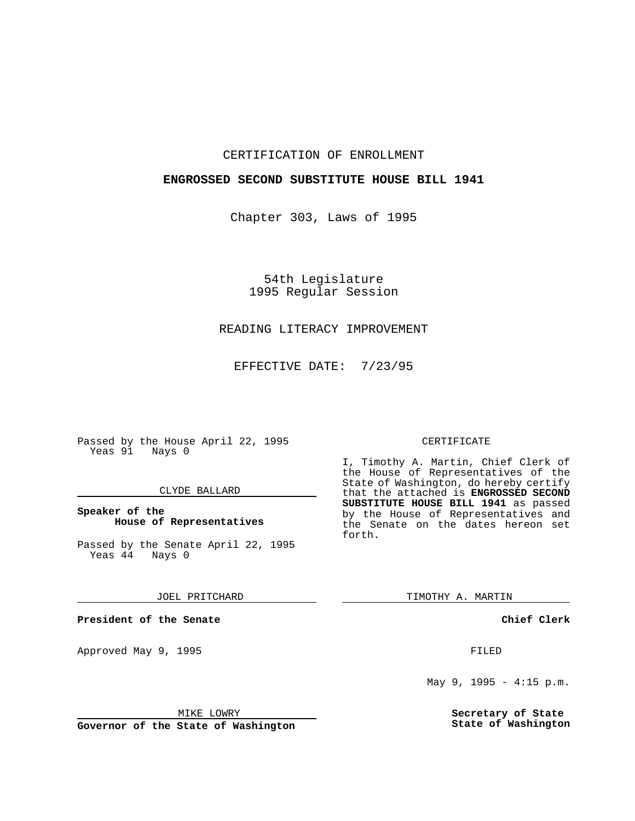## CERTIFICATION OF ENROLLMENT

## **ENGROSSED SECOND SUBSTITUTE HOUSE BILL 1941**

Chapter 303, Laws of 1995

54th Legislature 1995 Regular Session

# READING LITERACY IMPROVEMENT

EFFECTIVE DATE: 7/23/95

Passed by the House April 22, 1995 Yeas 91 Nays 0

### CLYDE BALLARD

## **Speaker of the House of Representatives**

Passed by the Senate April 22, 1995<br>Yeas 44 Nays 0  $Yeas$  44

JOEL PRITCHARD

**President of the Senate**

Approved May 9, 1995 **FILED** 

MIKE LOWRY

**Governor of the State of Washington**

#### CERTIFICATE

I, Timothy A. Martin, Chief Clerk of the House of Representatives of the State of Washington, do hereby certify that the attached is **ENGROSSED SECOND SUBSTITUTE HOUSE BILL 1941** as passed by the House of Representatives and the Senate on the dates hereon set forth.

TIMOTHY A. MARTIN

**Chief Clerk**

May 9, 1995 - 4:15 p.m.

**Secretary of State State of Washington**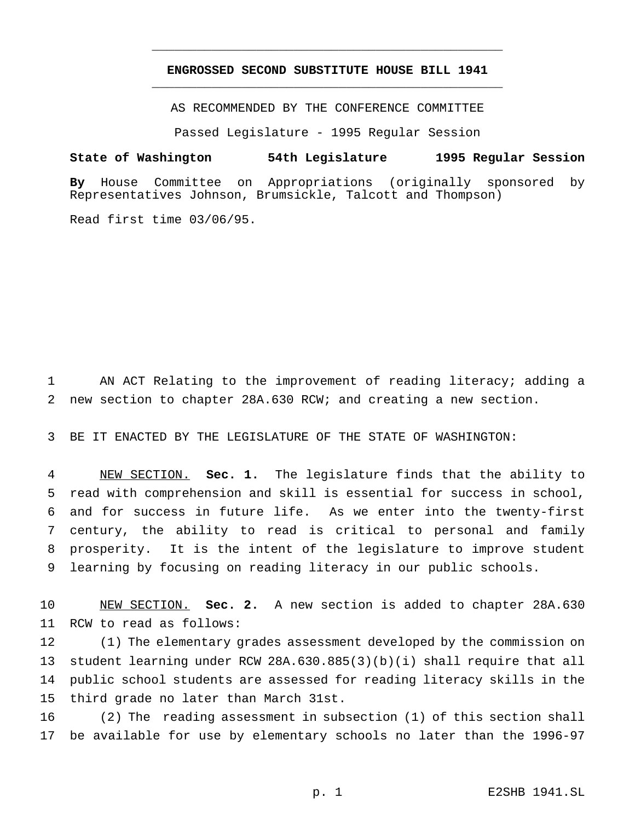# **ENGROSSED SECOND SUBSTITUTE HOUSE BILL 1941** \_\_\_\_\_\_\_\_\_\_\_\_\_\_\_\_\_\_\_\_\_\_\_\_\_\_\_\_\_\_\_\_\_\_\_\_\_\_\_\_\_\_\_\_\_\_\_

\_\_\_\_\_\_\_\_\_\_\_\_\_\_\_\_\_\_\_\_\_\_\_\_\_\_\_\_\_\_\_\_\_\_\_\_\_\_\_\_\_\_\_\_\_\_\_

AS RECOMMENDED BY THE CONFERENCE COMMITTEE

Passed Legislature - 1995 Regular Session

#### **State of Washington 54th Legislature 1995 Regular Session**

**By** House Committee on Appropriations (originally sponsored by Representatives Johnson, Brumsickle, Talcott and Thompson)

Read first time 03/06/95.

 AN ACT Relating to the improvement of reading literacy; adding a new section to chapter 28A.630 RCW; and creating a new section.

BE IT ENACTED BY THE LEGISLATURE OF THE STATE OF WASHINGTON:

 NEW SECTION. **Sec. 1.** The legislature finds that the ability to read with comprehension and skill is essential for success in school, and for success in future life. As we enter into the twenty-first century, the ability to read is critical to personal and family prosperity. It is the intent of the legislature to improve student learning by focusing on reading literacy in our public schools.

 NEW SECTION. **Sec. 2.** A new section is added to chapter 28A.630 RCW to read as follows:

 (1) The elementary grades assessment developed by the commission on student learning under RCW 28A.630.885(3)(b)(i) shall require that all public school students are assessed for reading literacy skills in the third grade no later than March 31st.

 (2) The reading assessment in subsection (1) of this section shall be available for use by elementary schools no later than the 1996-97